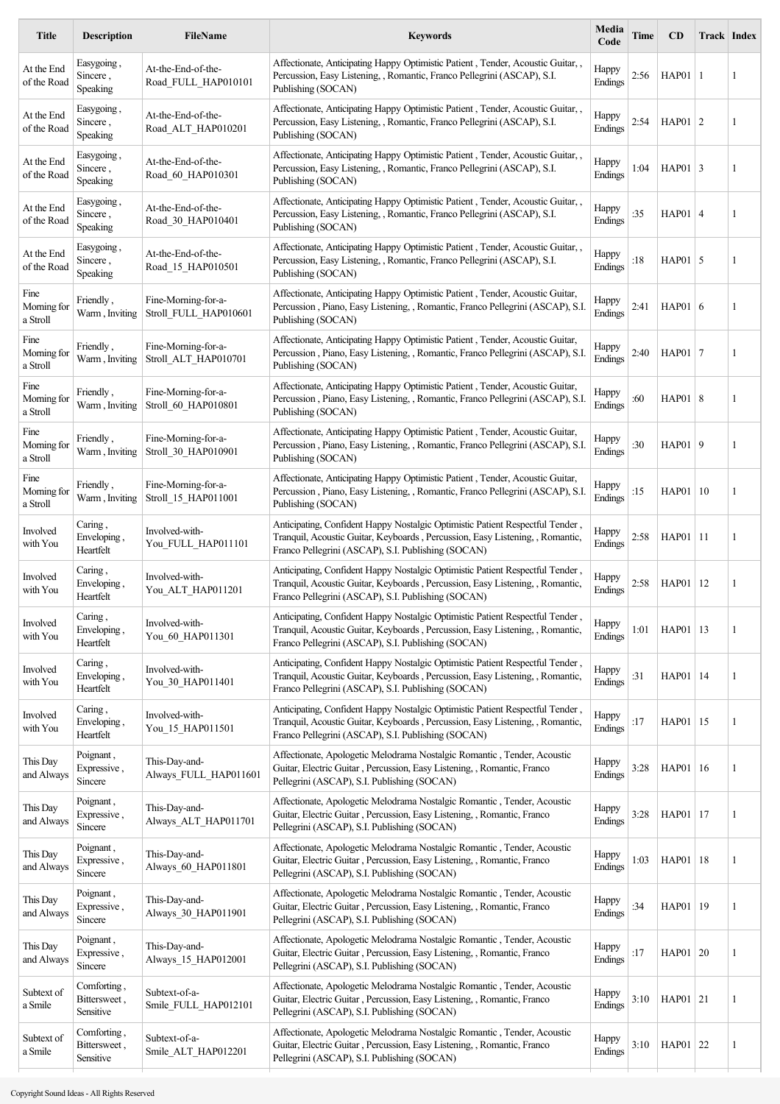| <b>Title</b>                    | <b>Description</b>                       | FileName                                     | <b>Keywords</b>                                                                                                                                                                                                      | Media<br>Code    | Time   | <b>CD</b>    |    | Track Index |
|---------------------------------|------------------------------------------|----------------------------------------------|----------------------------------------------------------------------------------------------------------------------------------------------------------------------------------------------------------------------|------------------|--------|--------------|----|-------------|
| At the End<br>of the Road       | Easygoing,<br>Sincere,<br>Speaking       | At-the-End-of-the-<br>Road FULL HAP010101    | Affectionate, Anticipating Happy Optimistic Patient, Tender, Acoustic Guitar,<br>Percussion, Easy Listening, , Romantic, Franco Pellegrini (ASCAP), S.I.<br>Publishing (SOCAN)                                       | Happy<br>Endings | 2:56   | $HAP01$   1  |    | 1           |
| At the End<br>of the Road       | Easygoing,<br>Sincere,<br>Speaking       | At-the-End-of-the-<br>Road ALT HAP010201     | Affectionate, Anticipating Happy Optimistic Patient, Tender, Acoustic Guitar, ,<br>Percussion, Easy Listening, , Romantic, Franco Pellegrini (ASCAP), S.I.<br>Publishing (SOCAN)                                     | Happy<br>Endings | 2:54   | $HAP01$ 2    |    | 1           |
| At the End<br>of the Road       | Easygoing,<br>Sincere.<br>Speaking       | At-the-End-of-the-<br>Road_60_HAP010301      | Affectionate, Anticipating Happy Optimistic Patient, Tender, Acoustic Guitar,,<br>Percussion, Easy Listening, , Romantic, Franco Pellegrini (ASCAP), S.I.<br>Publishing (SOCAN)                                      | Happy<br>Endings | 1:04   | $HAP01$ 3    |    | 1           |
| At the End<br>of the Road       | Easygoing,<br>Sincere,<br>Speaking       | At-the-End-of-the-<br>Road 30 HAP010401      | Affectionate, Anticipating Happy Optimistic Patient, Tender, Acoustic Guitar, ,<br>Percussion, Easy Listening, , Romantic, Franco Pellegrini (ASCAP), S.I.<br>Publishing (SOCAN)                                     | Happy<br>Endings | : $35$ | $HAP01$ 4    |    | 1           |
| At the End<br>of the Road       | Easygoing,<br>Sincere,<br>Speaking       | At-the-End-of-the-<br>Road 15 HAP010501      | Affectionate, Anticipating Happy Optimistic Patient, Tender, Acoustic Guitar, ,<br>Percussion, Easy Listening, , Romantic, Franco Pellegrini (ASCAP), S.I.<br>Publishing (SOCAN)                                     | Happy<br>Endings | :18    | $HAP01$ 5    |    | 1           |
| Fine<br>Morning for<br>a Stroll | Friendly,<br>Warm, Inviting              | Fine-Morning-for-a-<br>Stroll_FULL_HAP010601 | Affectionate, Anticipating Happy Optimistic Patient, Tender, Acoustic Guitar,<br>Percussion, Piano, Easy Listening, , Romantic, Franco Pellegrini (ASCAP), S.I.<br>Publishing (SOCAN)                                | Happy<br>Endings | 2:41   | HAP01 $6$    |    | 1           |
| Fine<br>Morning for<br>a Stroll | Friendly,<br>Warm, Inviting              | Fine-Morning-for-a-<br>Stroll_ALT_HAP010701  | Affectionate, Anticipating Happy Optimistic Patient, Tender, Acoustic Guitar,<br>Percussion, Piano, Easy Listening, , Romantic, Franco Pellegrini (ASCAP), S.I.<br>Publishing (SOCAN)                                | Happy<br>Endings | 2:40   | $HAP01$ 7    |    | 1           |
| Fine<br>Morning for<br>a Stroll | Friendly,<br>Warm, Inviting              | Fine-Morning-for-a-<br>Stroll_60_HAP010801   | Affectionate, Anticipating Happy Optimistic Patient, Tender, Acoustic Guitar,<br>Percussion, Piano, Easy Listening, , Romantic, Franco Pellegrini (ASCAP), S.I<br>Publishing (SOCAN)                                 | Happy<br>Endings | :60    | HAP01 8      |    | 1           |
| Fine<br>Morning for<br>a Stroll | Friendly,<br>Warm, Inviting              | Fine-Morning-for-a-<br>Stroll 30 HAP010901   | Affectionate, Anticipating Happy Optimistic Patient, Tender, Acoustic Guitar,<br>Percussion, Piano, Easy Listening, , Romantic, Franco Pellegrini (ASCAP), S.I<br>Publishing (SOCAN)                                 | Happy<br>Endings | :30    | $HAP01$ 9    |    | 1           |
| Fine<br>Morning for<br>a Stroll | Friendly,<br>Warm, Inviting              | Fine-Morning-for-a-<br>Stroll 15 HAP011001   | Affectionate, Anticipating Happy Optimistic Patient, Tender, Acoustic Guitar,<br>Percussion, Piano, Easy Listening, , Romantic, Franco Pellegrini (ASCAP), S.I.<br>Publishing (SOCAN)                                | Happy<br>Endings | :15    | HAP01        | 10 | 1           |
| Involved<br>with You            | Caring,<br>Enveloping,<br>Heartfelt      | Involved-with-<br>You_FULL_HAP011101         | Anticipating, Confident Happy Nostalgic Optimistic Patient Respectful Tender,<br>Tranquil, Acoustic Guitar, Keyboards, Percussion, Easy Listening, , Romantic,<br>Franco Pellegrini (ASCAP), S.I. Publishing (SOCAN) | Happy<br>Endings | 2:58   | $HAP01$   11 |    | 1           |
| Involved<br>with You            | Caring,<br>Enveloping,<br>Heartfelt      | Involved-with-<br>You_ALT_HAP011201          | Anticipating, Confident Happy Nostalgic Optimistic Patient Respectful Tender,<br>Tranquil, Acoustic Guitar, Keyboards, Percussion, Easy Listening, , Romantic,<br>Franco Pellegrini (ASCAP), S.I. Publishing (SOCAN) | Happy<br>Endings | 2:58   | HAP01   12   |    | 1           |
| Involved<br>with You            | Caring,<br>Enveloping,<br>Heartfelt      | Involved-with-<br>You_60_HAP011301           | Anticipating, Confident Happy Nostalgic Optimistic Patient Respectful Tender,<br>Tranquil, Acoustic Guitar, Keyboards, Percussion, Easy Listening, , Romantic,<br>Franco Pellegrini (ASCAP), S.I. Publishing (SOCAN) | Happy<br>Endings | 1:01   | HAP01   13   |    | 1           |
| Involved<br>with You            | Caring,<br>Enveloping,<br>Heartfelt      | Involved-with-<br>You 30 HAP011401           | Anticipating, Confident Happy Nostalgic Optimistic Patient Respectful Tender,<br>Tranquil, Acoustic Guitar, Keyboards, Percussion, Easy Listening, , Romantic,<br>Franco Pellegrini (ASCAP), S.I. Publishing (SOCAN) | Happy<br>Endings | : $31$ | HAP01   14   |    | 1           |
| Involved<br>with You            | Caring,<br>Enveloping,<br>Heartfelt      | Involved-with-<br>You 15 HAP011501           | Anticipating, Confident Happy Nostalgic Optimistic Patient Respectful Tender,<br>Tranquil, Acoustic Guitar, Keyboards, Percussion, Easy Listening, , Romantic,<br>Franco Pellegrini (ASCAP), S.I. Publishing (SOCAN) | Happy<br>Endings | :17    | HAP01   15   |    | 1           |
| This Day<br>and Always          | Poignant,<br>Expressive,<br>Sincere      | This-Day-and-<br>Always_FULL_HAP011601       | Affectionate, Apologetic Melodrama Nostalgic Romantic, Tender, Acoustic<br>Guitar, Electric Guitar, Percussion, Easy Listening, , Romantic, Franco<br>Pellegrini (ASCAP), S.I. Publishing (SOCAN)                    | Happy<br>Endings | 3:28   | HAP01 16     |    | 1           |
| This Day<br>and Always          | Poignant,<br>Expressive,<br>Sincere      | This-Day-and-<br>Always ALT HAP011701        | Affectionate, Apologetic Melodrama Nostalgic Romantic, Tender, Acoustic<br>Guitar, Electric Guitar, Percussion, Easy Listening, , Romantic, Franco<br>Pellegrini (ASCAP), S.I. Publishing (SOCAN)                    | Happy<br>Endings | 3:28   | HAP01   17   |    | 1           |
| This Day<br>and Always          | Poignant,<br>Expressive,<br>Sincere      | This-Day-and-<br>Always 60 HAP011801         | Affectionate, Apologetic Melodrama Nostalgic Romantic, Tender, Acoustic<br>Guitar, Electric Guitar, Percussion, Easy Listening, , Romantic, Franco<br>Pellegrini (ASCAP), S.I. Publishing (SOCAN)                    | Happy<br>Endings | 1:03   | HAP01   18   |    | 1           |
| This Day<br>and Always          | Poignant,<br>Expressive,<br>Sincere      | This-Day-and-<br>Always_30_HAP011901         | Affectionate, Apologetic Melodrama Nostalgic Romantic, Tender, Acoustic<br>Guitar, Electric Guitar, Percussion, Easy Listening, , Romantic, Franco<br>Pellegrini (ASCAP), S.I. Publishing (SOCAN)                    | Happy<br>Endings | :34    | HAP01   19   |    | 1           |
| This Day<br>and Always          | Poignant,<br>Expressive,<br>Sincere      | This-Day-and-<br>Always_15_HAP012001         | Affectionate, Apologetic Melodrama Nostalgic Romantic, Tender, Acoustic<br>Guitar, Electric Guitar, Percussion, Easy Listening, , Romantic, Franco<br>Pellegrini (ASCAP), S.I. Publishing (SOCAN)                    | Happy<br>Endings | :17    | HAP01 20     |    | 1           |
| Subtext of<br>a Smile           | Comforting,<br>Bittersweet,<br>Sensitive | Subtext-of-a-<br>Smile_FULL_HAP012101        | Affectionate, Apologetic Melodrama Nostalgic Romantic, Tender, Acoustic<br>Guitar, Electric Guitar, Percussion, Easy Listening, , Romantic, Franco<br>Pellegrini (ASCAP), S.I. Publishing (SOCAN)                    | Happy<br>Endings | 3:10   | $HAP01$ 21   |    | 1           |
| Subtext of<br>a Smile           | Comforting,<br>Bittersweet,<br>Sensitive | Subtext-of-a-<br>Smile_ALT_HAP012201         | Affectionate, Apologetic Melodrama Nostalgic Romantic, Tender, Acoustic<br>Guitar, Electric Guitar, Percussion, Easy Listening, , Romantic, Franco<br>Pellegrini (ASCAP), S.I. Publishing (SOCAN)                    | Happy<br>Endings | 3:10   | $HAP01$ 22   |    | 1           |
|                                 |                                          |                                              |                                                                                                                                                                                                                      |                  |        |              |    |             |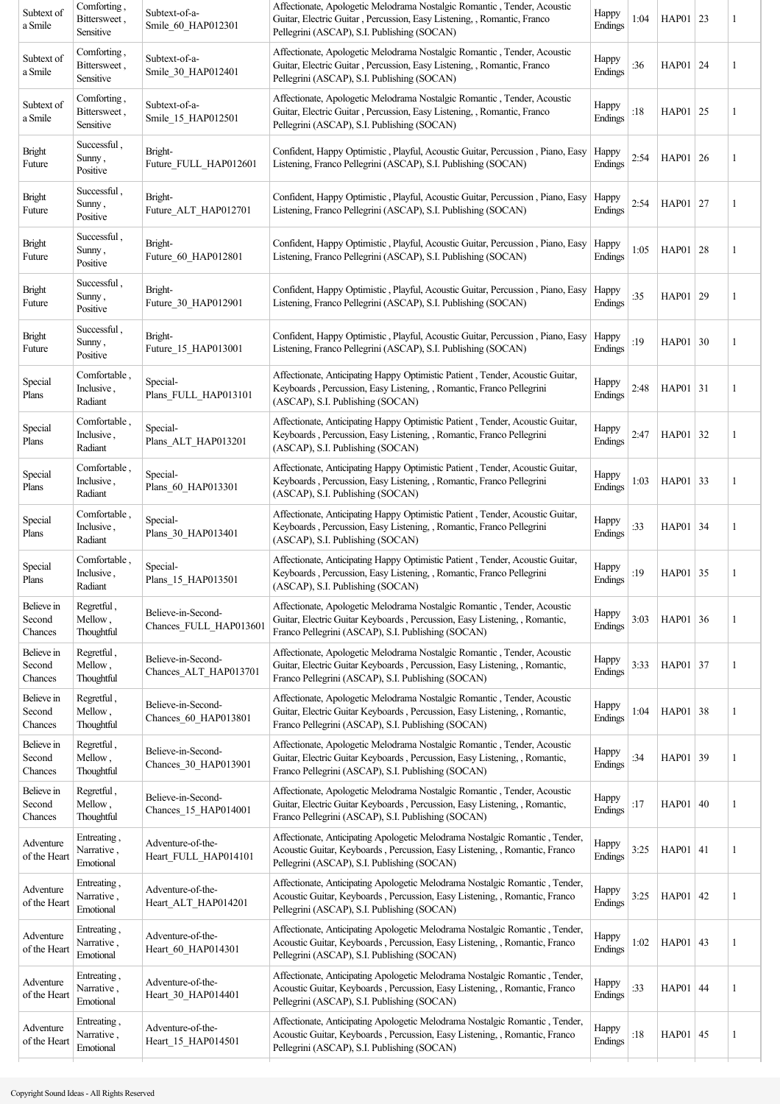| Subtext of<br>a Smile           | Comforting,<br>Bittersweet,<br>Sensitive | Subtext-of-a-<br>Smile 60 HAP012301          | Affectionate, Apologetic Melodrama Nostalgic Romantic, Tender, Acoustic<br>Guitar, Electric Guitar, Percussion, Easy Listening, , Romantic, Franco<br>Pellegrini (ASCAP), S.I. Publishing (SOCAN)           | Happy<br>Endings | 1:04   | HAP01 $ 23$ | 1            |
|---------------------------------|------------------------------------------|----------------------------------------------|-------------------------------------------------------------------------------------------------------------------------------------------------------------------------------------------------------------|------------------|--------|-------------|--------------|
| Subtext of<br>a Smile           | Comforting,<br>Bittersweet,<br>Sensitive | Subtext-of-a-<br>Smile_30_HAP012401          | Affectionate, Apologetic Melodrama Nostalgic Romantic, Tender, Acoustic<br>Guitar, Electric Guitar, Percussion, Easy Listening, , Romantic, Franco<br>Pellegrini (ASCAP), S.I. Publishing (SOCAN)           | Happy<br>Endings | :36    | HAP01 24    | 1            |
| Subtext of<br>a Smile           | Comforting,<br>Bittersweet,<br>Sensitive | Subtext-of-a-<br>Smile 15 HAP012501          | Affectionate, Apologetic Melodrama Nostalgic Romantic, Tender, Acoustic<br>Guitar, Electric Guitar, Percussion, Easy Listening, , Romantic, Franco<br>Pellegrini (ASCAP), S.I. Publishing (SOCAN)           | Happy<br>Endings | :18    | HAP01 25    | 1            |
| Bright<br>Future                | Successful,<br>Sunny,<br>Positive        | Bright-<br>Future FULL HAP012601             | Confident, Happy Optimistic, Playful, Acoustic Guitar, Percussion, Piano, Easy<br>Listening, Franco Pellegrini (ASCAP), S.I. Publishing (SOCAN)                                                             | Happy<br>Endings | 2:54   | HAP01 $26$  | 1            |
| Bright<br>Future                | Successful,<br>Sunny,<br>Positive        | Bright-<br>Future ALT HAP012701              | Confident, Happy Optimistic, Playful, Acoustic Guitar, Percussion, Piano, Easy<br>Listening, Franco Pellegrini (ASCAP), S.I. Publishing (SOCAN)                                                             | Happy<br>Endings | 2:54   | HAP01 $27$  | 1            |
| <b>Bright</b><br>Future         | Successful,<br>Sunny,<br>Positive        | Bright-<br>Future 60 HAP012801               | Confident, Happy Optimistic, Playful, Acoustic Guitar, Percussion, Piano, Easy<br>Listening, Franco Pellegrini (ASCAP), S.I. Publishing (SOCAN)                                                             | Happy<br>Endings | 1:05   | $HAP01$ 28  | 1            |
| <b>Bright</b><br>Future         | Successful,<br>Sunny,<br>Positive        | Bright-<br>Future 30 HAP012901               | Confident, Happy Optimistic, Playful, Acoustic Guitar, Percussion, Piano, Easy<br>Listening, Franco Pellegrini (ASCAP), S.I. Publishing (SOCAN)                                                             | Happy<br>Endings | : $35$ | HAP01 29    | $\mathbf{1}$ |
| <b>Bright</b><br>Future         | Successful,<br>Sunny,<br>Positive        | Bright-<br>Future 15 HAP013001               | Confident, Happy Optimistic, Playful, Acoustic Guitar, Percussion, Piano, Easy<br>Listening, Franco Pellegrini (ASCAP), S.I. Publishing (SOCAN)                                                             | Happy<br>Endings | :19    | HAP01 30    | 1            |
| Special<br>Plans                | Comfortable,<br>Inclusive,<br>Radiant    | Special-<br>Plans FULL HAP013101             | Affectionate, Anticipating Happy Optimistic Patient, Tender, Acoustic Guitar,<br>Keyboards, Percussion, Easy Listening, , Romantic, Franco Pellegrini<br>(ASCAP), S.I. Publishing (SOCAN)                   | Happy<br>Endings | 2:48   | $HAP01$ 31  | 1            |
| Special<br>Plans                | Comfortable,<br>Inclusive,<br>Radiant    | Special-<br>Plans_ALT_HAP013201              | Affectionate, Anticipating Happy Optimistic Patient, Tender, Acoustic Guitar,<br>Keyboards, Percussion, Easy Listening, , Romantic, Franco Pellegrini<br>(ASCAP), S.I. Publishing (SOCAN)                   | Happy<br>Endings | 2:47   | HAP01 $ 32$ | 1            |
| Special<br>Plans                | Comfortable,<br>Inclusive,<br>Radiant    | Special-<br>Plans 60 HAP013301               | Affectionate, Anticipating Happy Optimistic Patient, Tender, Acoustic Guitar,<br>Keyboards, Percussion, Easy Listening, , Romantic, Franco Pellegrini<br>(ASCAP), S.I. Publishing (SOCAN)                   | Happy<br>Endings | 1:03   | HAP01 33    | 1            |
| Special<br>Plans                | Comfortable,<br>Inclusive,<br>Radiant    | Special-<br>Plans 30 HAP013401               | Affectionate, Anticipating Happy Optimistic Patient, Tender, Acoustic Guitar,<br>Keyboards, Percussion, Easy Listening, , Romantic, Franco Pellegrini<br>(ASCAP), S.I. Publishing (SOCAN)                   | Happy<br>Endings | :33    | HAP01 34    | 1            |
| Special<br>Plans                | Comfortable,<br>Inclusive,<br>Radiant    | Special-<br>Plans_15_HAP013501               | Affectionate, Anticipating Happy Optimistic Patient, Tender, Acoustic Guitar,<br>Keyboards, Percussion, Easy Listening, , Romantic, Franco Pellegrini<br>(ASCAP), S.I. Publishing (SOCAN)                   | Happy<br>Endings | :19    | HAP01 $ 35$ | 1            |
| Believe in<br>Second<br>Chances | Regretful,<br>Mellow,<br>Thoughtful      | Believe-in-Second-<br>Chances_FULL_HAP013601 | Affectionate, Apologetic Melodrama Nostalgic Romantic, Tender, Acoustic<br>Guitar, Electric Guitar Keyboards, Percussion, Easy Listening, , Romantic,<br>Franco Pellegrini (ASCAP), S.I. Publishing (SOCAN) | Happy<br>Endings | 3:03   | HAP01 $36$  | 1            |
| Believe in<br>Second<br>Chances | Regretful,<br>Mellow,<br>Thoughtful      | Believe-in-Second-<br>Chances_ALT_HAP013701  | Affectionate, Apologetic Melodrama Nostalgic Romantic, Tender, Acoustic<br>Guitar, Electric Guitar Keyboards, Percussion, Easy Listening, , Romantic,<br>Franco Pellegrini (ASCAP), S.I. Publishing (SOCAN) | Happy<br>Endings | 3:33   | HAP01 $ 37$ | 1            |
| Believe in<br>Second<br>Chances | Regretful,<br>Mellow,<br>Thoughtful      | Believe-in-Second-<br>Chances 60 HAP013801   | Affectionate, Apologetic Melodrama Nostalgic Romantic, Tender, Acoustic<br>Guitar, Electric Guitar Keyboards, Percussion, Easy Listening, , Romantic,<br>Franco Pellegrini (ASCAP), S.I. Publishing (SOCAN) | Happy<br>Endings | 1:04   | HAP01 38    | 1            |
| Believe in<br>Second<br>Chances | Regretful,<br>Mellow,<br>Thoughtful      | Believe-in-Second-<br>Chances_30_HAP013901   | Affectionate, Apologetic Melodrama Nostalgic Romantic, Tender, Acoustic<br>Guitar, Electric Guitar Keyboards, Percussion, Easy Listening, , Romantic,<br>Franco Pellegrini (ASCAP), S.I. Publishing (SOCAN) | Happy<br>Endings | :34    | HAP01 39    | 1            |
| Believe in<br>Second<br>Chances | Regretful,<br>Mellow,<br>Thoughtful      | Believe-in-Second-<br>Chances 15 HAP014001   | Affectionate, Apologetic Melodrama Nostalgic Romantic, Tender, Acoustic<br>Guitar, Electric Guitar Keyboards, Percussion, Easy Listening, , Romantic,<br>Franco Pellegrini (ASCAP), S.I. Publishing (SOCAN) | Happy<br>Endings | :17    | HAP01 $ 40$ | 1            |
| Adventure<br>of the Heart       | Entreating,<br>Narrative,<br>Emotional   | Adventure-of-the-<br>Heart_FULL_HAP014101    | Affectionate, Anticipating Apologetic Melodrama Nostalgic Romantic, Tender,<br>Acoustic Guitar, Keyboards, Percussion, Easy Listening, , Romantic, Franco<br>Pellegrini (ASCAP), S.I. Publishing (SOCAN)    | Happy<br>Endings | 3:25   | $HAP01$ 41  | 1            |
| Adventure<br>of the Heart       | Entreating,<br>Narrative,<br>Emotional   | Adventure-of-the-<br>Heart_ALT_HAP014201     | Affectionate, Anticipating Apologetic Melodrama Nostalgic Romantic, Tender,<br>Acoustic Guitar, Keyboards, Percussion, Easy Listening, , Romantic, Franco<br>Pellegrini (ASCAP), S.I. Publishing (SOCAN)    | Happy<br>Endings | 3:25   | $HAP01$ 42  | 1            |
| Adventure<br>of the Heart       | Entreating,<br>Narrative,<br>Emotional   | Adventure-of-the-<br>Heart_60_HAP014301      | Affectionate, Anticipating Apologetic Melodrama Nostalgic Romantic, Tender,<br>Acoustic Guitar, Keyboards, Percussion, Easy Listening, , Romantic, Franco<br>Pellegrini (ASCAP), S.I. Publishing (SOCAN)    | Happy<br>Endings | 1:02   | HAP01 $ 43$ | 1            |
| Adventure<br>of the Heart       | Entreating,<br>Narrative,<br>Emotional   | Adventure-of-the-<br>Heart 30 HAP014401      | Affectionate, Anticipating Apologetic Melodrama Nostalgic Romantic, Tender,<br>Acoustic Guitar, Keyboards, Percussion, Easy Listening, , Romantic, Franco<br>Pellegrini (ASCAP), S.I. Publishing (SOCAN)    | Happy<br>Endings | :33    | HAP01 44    | 1            |
| Adventure<br>of the Heart       | Entreating,<br>Narrative,<br>Emotional   | Adventure-of-the-<br>Heart 15 HAP014501      | Affectionate, Anticipating Apologetic Melodrama Nostalgic Romantic, Tender,<br>Acoustic Guitar, Keyboards, Percussion, Easy Listening, , Romantic, Franco<br>Pellegrini (ASCAP), S.I. Publishing (SOCAN)    | Happy<br>Endings | :18    | HAP01 $ 45$ | 1            |
|                                 |                                          |                                              |                                                                                                                                                                                                             |                  |        |             |              |